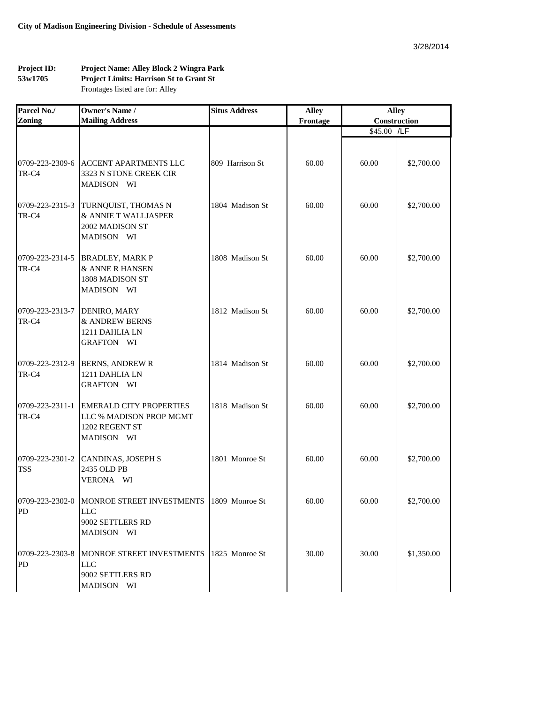## **Project ID: 53w1705 Project Name: Alley Block 2 Wingra Park Project Limits: Harrison St to Grant St** Frontages listed are for: Alley

| Parcel No./                   | <b>Owner's Name /</b>                                                                             | <b>Situs Address</b> | <b>Alley</b> | <b>Alley</b> |            |
|-------------------------------|---------------------------------------------------------------------------------------------------|----------------------|--------------|--------------|------------|
| <b>Zoning</b>                 | <b>Mailing Address</b>                                                                            |                      | Frontage     | Construction |            |
|                               |                                                                                                   |                      |              | \$45.00 /LF  |            |
| 0709-223-2309-6<br>TR-C4      | ACCENT APARTMENTS LLC<br>3323 N STONE CREEK CIR<br>MADISON WI                                     | 809 Harrison St      | 60.00        | 60.00        | \$2,700.00 |
| 0709-223-2315-3<br>TR-C4      | TURNQUIST, THOMAS N<br>& ANNIE T WALLJASPER<br>2002 MADISON ST<br>MADISON WI                      | 1804 Madison St      | 60.00        | 60.00        | \$2,700.00 |
| 0709-223-2314-5<br>TR-C4      | <b>BRADLEY, MARK P</b><br>& ANNE R HANSEN<br>1808 MADISON ST<br>MADISON WI                        | 1808 Madison St      | 60.00        | 60.00        | \$2,700.00 |
| 0709-223-2313-7<br>TR-C4      | DENIRO, MARY<br>& ANDREW BERNS<br>1211 DAHLIA LN<br>GRAFTON WI                                    | 1812 Madison St      | 60.00        | 60.00        | \$2,700.00 |
| 0709-223-2312-9<br>TR-C4      | <b>BERNS, ANDREW R</b><br>1211 DAHLIA LN<br><b>GRAFTON WI</b>                                     | 1814 Madison St      | 60.00        | 60.00        | \$2,700.00 |
| 0709-223-2311-1<br>TR-C4      | <b>EMERALD CITY PROPERTIES</b><br>LLC % MADISON PROP MGMT<br>1202 REGENT ST<br>MADISON WI         | 1818 Madison St      | 60.00        | 60.00        | \$2,700.00 |
| 0709-223-2301-2<br><b>TSS</b> | <b>CANDINAS, JOSEPH S</b><br>2435 OLD PB<br>VERONA WI                                             | 1801 Monroe St       | 60.00        | 60.00        | \$2,700.00 |
| PD                            | 0709-223-2302-0 MONROE STREET INVESTMENTS 1809 Monroe St<br>LLC<br>9002 SETTLERS RD<br>MADISON WI |                      | 60.00        | 60.00        | \$2,700.00 |
| 0709-223-2303-8<br>PD         | MONROE STREET INVESTMENTS<br><b>LLC</b><br>9002 SETTLERS RD<br>MADISON WI                         | 1825 Monroe St       | 30.00        | 30.00        | \$1,350.00 |